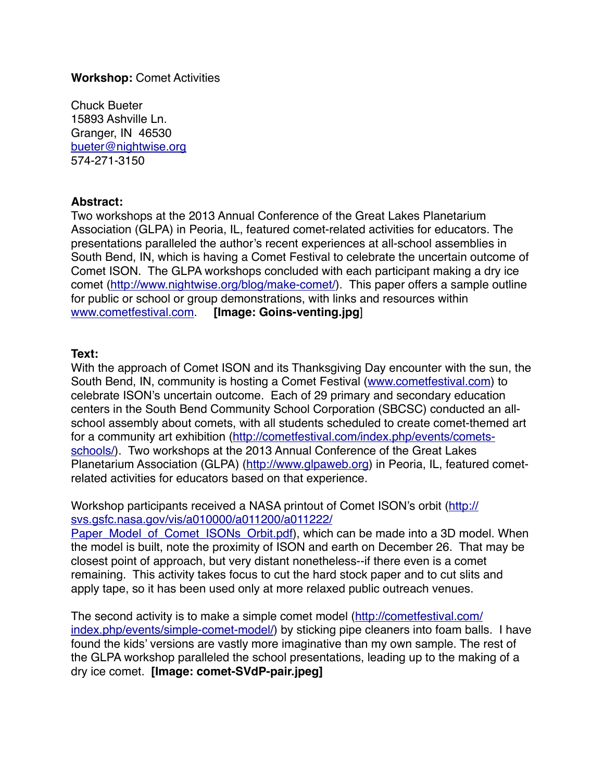## **Workshop:** Comet Activities

Chuck Bueter 15893 Ashville Ln. Granger, IN 46530 [bueter@nightwise.org](mailto:bueter@nightwise.org) 574-271-3150

## **Abstract:**

Two workshops at the 2013 Annual Conference of the Great Lakes Planetarium Association (GLPA) in Peoria, IL, featured comet-related activities for educators. The presentations paralleled the author's recent experiences at all-school assemblies in South Bend, IN, which is having a Comet Festival to celebrate the uncertain outcome of Comet ISON. The GLPA workshops concluded with each participant making a dry ice comet [\(http://www.nightwise.org/blog/make-comet/](http://www.nightwise.org/blog/make-comet/)). This paper offers a sample outline for public or school or group demonstrations, with links and resources within [www.cometfestival.com.](http://www.cometfestival.com) **[Image: Goins-venting.jpg**]

## **Text:**

With the approach of Comet ISON and its Thanksgiving Day encounter with the sun, the South Bend, IN, community is hosting a Comet Festival ([www.cometfestival.com\)](http://www.cometfestival.com) to celebrate ISON's uncertain outcome. Each of 29 primary and secondary education centers in the South Bend Community School Corporation (SBCSC) conducted an allschool assembly about comets, with all students scheduled to create comet-themed art [for a community art exhibition \(http://cometfestival.com/index.php/events/comets](http://cometfestival.com/index.php/events/comets-schools/)schools/). Two workshops at the 2013 Annual Conference of the Great Lakes Planetarium Association (GLPA) ([http://www.glpaweb.org\)](http://www.glpaweb.org) in Peoria, IL, featured cometrelated activities for educators based on that experience.

[Workshop participants received a NASA printout of Comet ISON's orbit \(http://](http://svs.gsfc.nasa.gov/vis/a010000/a011200/a011222/Paper_Model_of_Comet_ISONs_Orbit.pdf) svs.gsfc.nasa.gov/vis/a010000/a011200/a011222/

Paper\_Model\_of\_Comet\_ISONs\_Orbit.pdf), which can be made into a 3D model. When the model is built, note the proximity of ISON and earth on December 26. That may be closest point of approach, but very distant nonetheless--if there even is a comet remaining. This activity takes focus to cut the hard stock paper and to cut slits and apply tape, so it has been used only at more relaxed public outreach venues.

The second activity is to make a simple comet model (http://cometfestival.com/ [index.php/events/simple-comet-model/\) by sticking pipe cleaners into foam ball](http://cometfestival.com/index.php/events/simple-comet-model/)s. I have found the kids' versions are vastly more imaginative than my own sample. The rest of the GLPA workshop paralleled the school presentations, leading up to the making of a dry ice comet. **[Image: comet-SVdP-pair.jpeg]**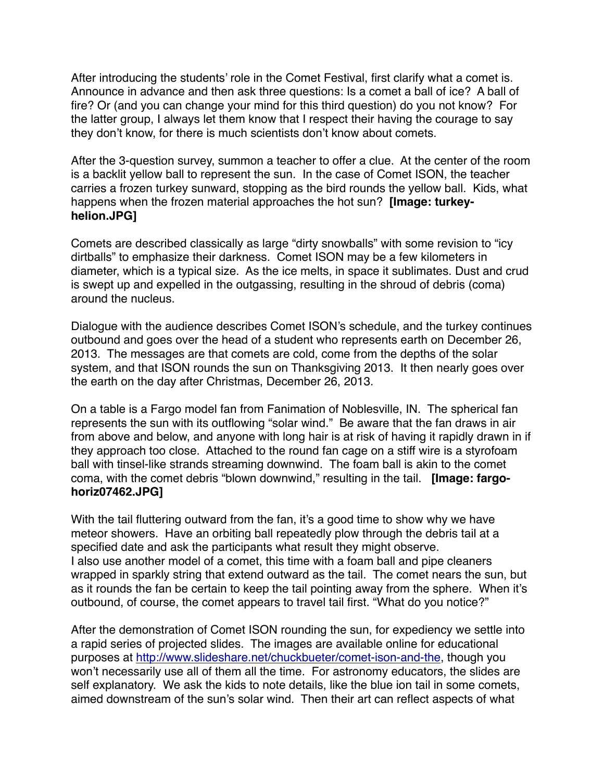After introducing the students' role in the Comet Festival, first clarify what a comet is. Announce in advance and then ask three questions: Is a comet a ball of ice? A ball of fire? Or (and you can change your mind for this third question) do you not know? For the latter group, I always let them know that I respect their having the courage to say they don't know, for there is much scientists don't know about comets.

After the 3-question survey, summon a teacher to offer a clue. At the center of the room is a backlit yellow ball to represent the sun. In the case of Comet ISON, the teacher carries a frozen turkey sunward, stopping as the bird rounds the yellow ball. Kids, what happens when the frozen material approaches the hot sun? **[Image: turkeyhelion.JPG]**

Comets are described classically as large "dirty snowballs" with some revision to "icy dirtballs" to emphasize their darkness. Comet ISON may be a few kilometers in diameter, which is a typical size. As the ice melts, in space it sublimates. Dust and crud is swept up and expelled in the outgassing, resulting in the shroud of debris (coma) around the nucleus.

Dialogue with the audience describes Comet ISON's schedule, and the turkey continues outbound and goes over the head of a student who represents earth on December 26, 2013. The messages are that comets are cold, come from the depths of the solar system, and that ISON rounds the sun on Thanksgiving 2013. It then nearly goes over the earth on the day after Christmas, December 26, 2013.

On a table is a Fargo model fan from Fanimation of Noblesville, IN. The spherical fan represents the sun with its outflowing "solar wind." Be aware that the fan draws in air from above and below, and anyone with long hair is at risk of having it rapidly drawn in if they approach too close. Attached to the round fan cage on a stiff wire is a styrofoam ball with tinsel-like strands streaming downwind. The foam ball is akin to the comet coma, with the comet debris "blown downwind," resulting in the tail. **[Image: fargohoriz07462.JPG]**

With the tail fluttering outward from the fan, it's a good time to show why we have meteor showers. Have an orbiting ball repeatedly plow through the debris tail at a specified date and ask the participants what result they might observe. I also use another model of a comet, this time with a foam ball and pipe cleaners wrapped in sparkly string that extend outward as the tail. The comet nears the sun, but as it rounds the fan be certain to keep the tail pointing away from the sphere. When it's outbound, of course, the comet appears to travel tail first. "What do you notice?"

After the demonstration of Comet ISON rounding the sun, for expediency we settle into a rapid series of projected slides. The images are available online for educational purposes at [http://www.slideshare.net/chuckbueter/comet-ison-and-the,](http://www.slideshare.net/chuckbueter/comet-ison-and-the) though you won't necessarily use all of them all the time. For astronomy educators, the slides are self explanatory. We ask the kids to note details, like the blue ion tail in some comets, aimed downstream of the sun's solar wind. Then their art can reflect aspects of what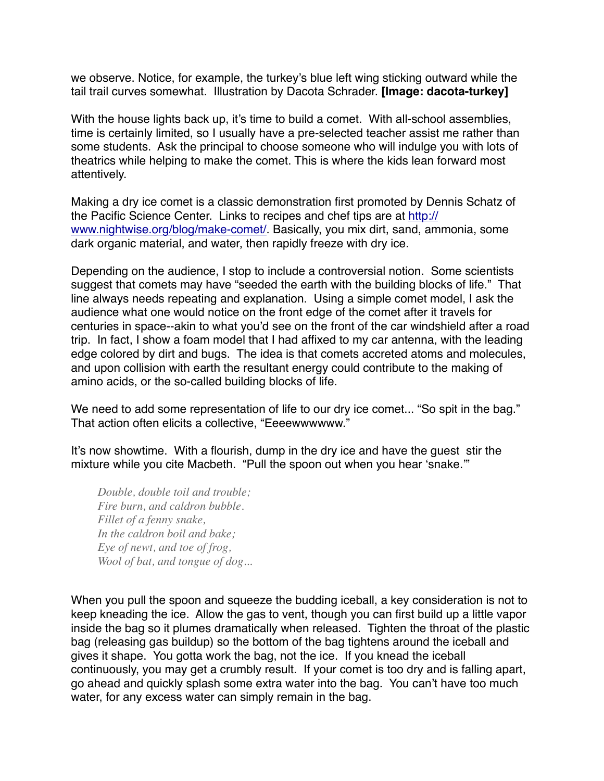we observe. Notice, for example, the turkey's blue left wing sticking outward while the tail trail curves somewhat. Illustration by Dacota Schrader. **[Image: dacota-turkey]**

With the house lights back up, it's time to build a comet. With all-school assemblies, time is certainly limited, so I usually have a pre-selected teacher assist me rather than some students. Ask the principal to choose someone who will indulge you with lots of theatrics while helping to make the comet. This is where the kids lean forward most attentively.

Making a dry ice comet is a classic demonstration first promoted by Dennis Schatz of [the Pacific Science Center. Links to recipes and chef tips are at http://](http://www.nightwise.org/blog/make-comet/) www.nightwise.org/blog/make-comet/. Basically, you mix dirt, sand, ammonia, some dark organic material, and water, then rapidly freeze with dry ice.

Depending on the audience, I stop to include a controversial notion. Some scientists suggest that comets may have "seeded the earth with the building blocks of life." That line always needs repeating and explanation. Using a simple comet model, I ask the audience what one would notice on the front edge of the comet after it travels for centuries in space--akin to what you'd see on the front of the car windshield after a road trip. In fact, I show a foam model that I had affixed to my car antenna, with the leading edge colored by dirt and bugs. The idea is that comets accreted atoms and molecules, and upon collision with earth the resultant energy could contribute to the making of amino acids, or the so-called building blocks of life.

We need to add some representation of life to our dry ice comet... "So spit in the bag." That action often elicits a collective, "Eeeewwwwww."

It's now showtime. With a flourish, dump in the dry ice and have the guest stir the mixture while you cite Macbeth. "Pull the spoon out when you hear 'snake.'"

*Double, double toil and trouble; Fire burn, and caldron bubble. Fillet of a fenny snake, In the caldron boil and bake; Eye of newt, and toe of frog, Wool of bat, and tongue of dog...*

When you pull the spoon and squeeze the budding iceball, a key consideration is not to keep kneading the ice. Allow the gas to vent, though you can first build up a little vapor inside the bag so it plumes dramatically when released. Tighten the throat of the plastic bag (releasing gas buildup) so the bottom of the bag tightens around the iceball and gives it shape. You gotta work the bag, not the ice. If you knead the iceball continuously, you may get a crumbly result. If your comet is too dry and is falling apart, go ahead and quickly splash some extra water into the bag. You can't have too much water, for any excess water can simply remain in the bag.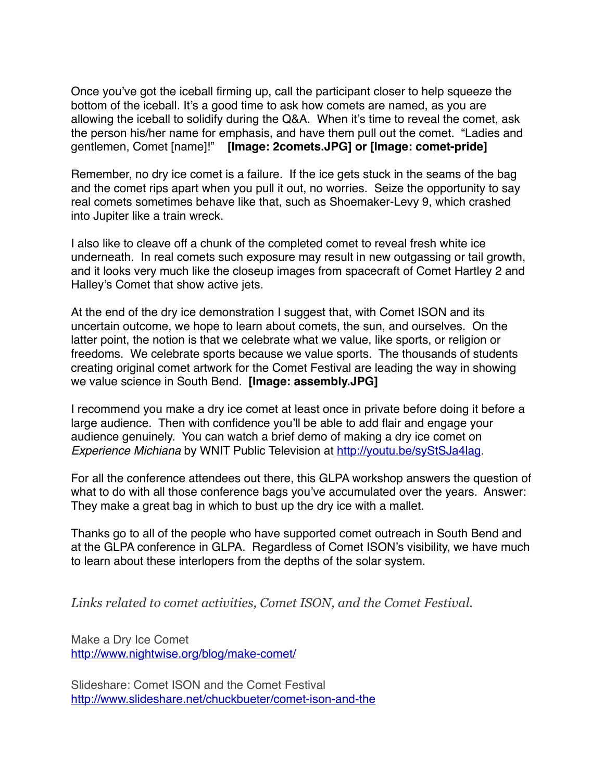Once you've got the iceball firming up, call the participant closer to help squeeze the bottom of the iceball. It's a good time to ask how comets are named, as you are allowing the iceball to solidify during the Q&A. When it's time to reveal the comet, ask the person his/her name for emphasis, and have them pull out the comet. "Ladies and gentlemen, Comet [name]!" **[Image: 2comets.JPG] or [Image: comet-pride]**

Remember, no dry ice comet is a failure. If the ice gets stuck in the seams of the bag and the comet rips apart when you pull it out, no worries. Seize the opportunity to say real comets sometimes behave like that, such as Shoemaker-Levy 9, which crashed into Jupiter like a train wreck.

I also like to cleave off a chunk of the completed comet to reveal fresh white ice underneath. In real comets such exposure may result in new outgassing or tail growth, and it looks very much like the closeup images from spacecraft of Comet Hartley 2 and Halley's Comet that show active jets.

At the end of the dry ice demonstration I suggest that, with Comet ISON and its uncertain outcome, we hope to learn about comets, the sun, and ourselves. On the latter point, the notion is that we celebrate what we value, like sports, or religion or freedoms. We celebrate sports because we value sports. The thousands of students creating original comet artwork for the Comet Festival are leading the way in showing we value science in South Bend. **[Image: assembly.JPG]**

I recommend you make a dry ice comet at least once in private before doing it before a large audience. Then with confidence you'll be able to add flair and engage your audience genuinely. You can watch a brief demo of making a dry ice comet on *Experience Michiana* by WNIT Public Television at [http://youtu.be/syStSJa4lag.](http://youtu.be/syStSJa4lag)

For all the conference attendees out there, this GLPA workshop answers the question of what to do with all those conference bags you've accumulated over the years. Answer: They make a great bag in which to bust up the dry ice with a mallet.

Thanks go to all of the people who have supported comet outreach in South Bend and at the GLPA conference in GLPA. Regardless of Comet ISON's visibility, we have much to learn about these interlopers from the depths of the solar system.

*Links related to comet activities, Comet ISON, and the Comet Festival.* 

Make a Dry Ice Comet <http://www.nightwise.org/blog/make-comet/>

Slideshare: Comet ISON and the Comet Festival <http://www.slideshare.net/chuckbueter/comet-ison-and-the>